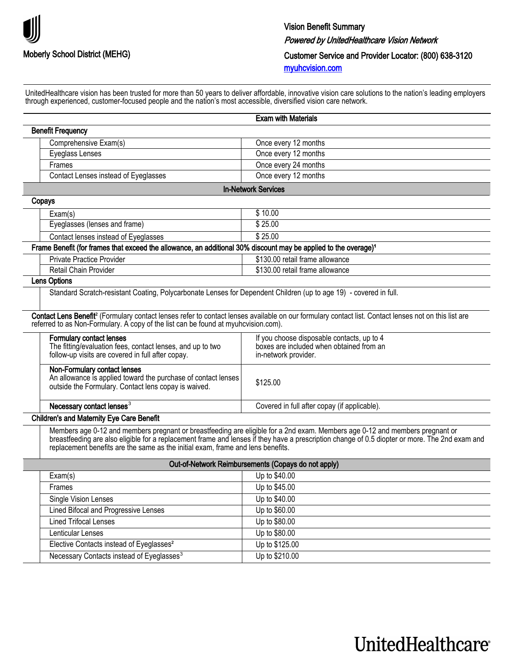

**UnitedHealthcare**®

UnitedHealthcare vision has been trusted for more than 50 years to deliver affordable, innovative vision care solutions to the nation's leading employers through experienced, customer-focused people and the nation's most accessible, diversified vision care network.

|                                                                                                                                                       | <b>Exam with Materials</b>                                                                                                                                                                                                                                                     |  |
|-------------------------------------------------------------------------------------------------------------------------------------------------------|--------------------------------------------------------------------------------------------------------------------------------------------------------------------------------------------------------------------------------------------------------------------------------|--|
| <b>Benefit Frequency</b>                                                                                                                              |                                                                                                                                                                                                                                                                                |  |
| Comprehensive Exam(s)                                                                                                                                 | Once every 12 months                                                                                                                                                                                                                                                           |  |
| Eyeglass Lenses                                                                                                                                       | Once every 12 months                                                                                                                                                                                                                                                           |  |
| Frames                                                                                                                                                | Once every 24 months                                                                                                                                                                                                                                                           |  |
| Contact Lenses instead of Eyeglasses                                                                                                                  | Once every 12 months                                                                                                                                                                                                                                                           |  |
| <b>In-Network Services</b>                                                                                                                            |                                                                                                                                                                                                                                                                                |  |
| Copays                                                                                                                                                |                                                                                                                                                                                                                                                                                |  |
| Exam(s)                                                                                                                                               | \$10.00                                                                                                                                                                                                                                                                        |  |
| Eyeglasses (lenses and frame)                                                                                                                         | \$25.00                                                                                                                                                                                                                                                                        |  |
| Contact lenses instead of Eyeglasses                                                                                                                  | \$25.00                                                                                                                                                                                                                                                                        |  |
| Frame Benefit (for frames that exceed the allowance, an additional 30% discount may be applied to the overage) <sup>1</sup>                           |                                                                                                                                                                                                                                                                                |  |
| Private Practice Provider                                                                                                                             | \$130.00 retail frame allowance                                                                                                                                                                                                                                                |  |
| Retail Chain Provider                                                                                                                                 | \$130.00 retail frame allowance                                                                                                                                                                                                                                                |  |
| Lens Options                                                                                                                                          |                                                                                                                                                                                                                                                                                |  |
| Standard Scratch-resistant Coating, Polycarbonate Lenses for Dependent Children (up to age 19) - covered in full.                                     |                                                                                                                                                                                                                                                                                |  |
| referred to as Non-Formulary. A copy of the list can be found at myuhovision.com).                                                                    | Contact Lens Benefit <sup>2</sup> (Formulary contact lenses refer to contact lenses available on our formulary contact list. Contact lenses not on this list are                                                                                                               |  |
| Formulary contact lenses<br>The fitting/evaluation fees, contact lenses, and up to two<br>follow-up visits are covered in full after copay.           | If you choose disposable contacts, up to 4<br>boxes are included when obtained from an<br>in-network provider.                                                                                                                                                                 |  |
| Non-Formulary contact lenses<br>An allowance is applied toward the purchase of contact lenses<br>outside the Formulary. Contact lens copay is waived. | \$125.00                                                                                                                                                                                                                                                                       |  |
| Necessary contact lenses <sup>3</sup>                                                                                                                 | Covered in full after copay (if applicable).                                                                                                                                                                                                                                   |  |
| <b>Children's and Maternity Eye Care Benefit</b>                                                                                                      |                                                                                                                                                                                                                                                                                |  |
| replacement benefits are the same as the initial exam, frame and lens benefits.                                                                       | Members age 0-12 and members pregnant or breastfeeding are eligible for a 2nd exam. Members age 0-12 and members pregnant or<br>breastfeeding are also eligible for a replacement frame and lenses if they have a prescription change of 0.5 diopter or more. The 2nd exam and |  |
|                                                                                                                                                       | Out-of-Network Reimbursements (Copays do not apply)                                                                                                                                                                                                                            |  |
| Exam(s)                                                                                                                                               | Up to \$40.00                                                                                                                                                                                                                                                                  |  |
| Frames                                                                                                                                                | Up to \$45.00                                                                                                                                                                                                                                                                  |  |
| Single Vision Lenses                                                                                                                                  | Up to \$40.00                                                                                                                                                                                                                                                                  |  |
| Lined Bifocal and Progressive Lenses                                                                                                                  | Up to \$60.00                                                                                                                                                                                                                                                                  |  |
| <b>Lined Trifocal Lenses</b>                                                                                                                          | Up to \$80.00                                                                                                                                                                                                                                                                  |  |

Lenticular Lenses Up to \$80.00 Elective Contacts instead of Eyeglasses<sup>2</sup> Up to \$125.00 Necessary Contacts instead of Eyeglasses<sup>3</sup> Up to \$210.00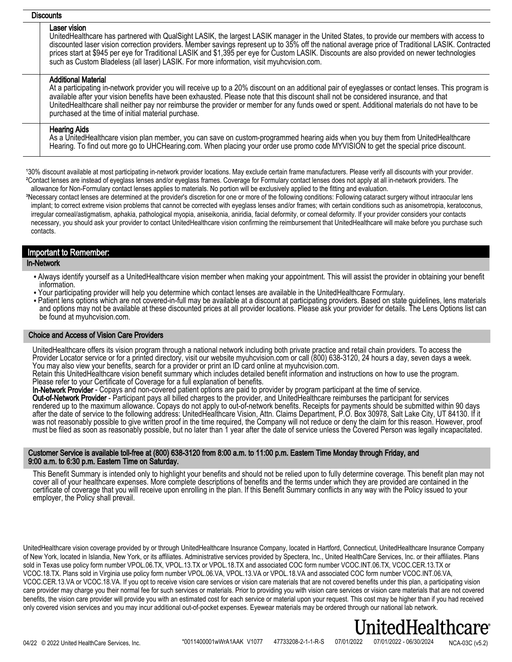### **Discounts**

#### Laser vision

UnitedHealthcare has partnered with QualSight LASIK, the largest LASIK manager in the United States, to provide our members with access to discounted laser vision correction providers. Member savings represent up to 35% off the national average price of Traditional LASIK. Contracted prices start at \$945 per eye for Traditional LASIK and \$1,395 per eye for Custom LASIK. Discounts are also provided on newer technologies such as Custom Bladeless (all laser) LASIK. For more information, visit myuhcvision.com.

## Additional Material

At a participating in-network provider you will receive up to a 20% discount on an additional pair of eyeglasses or contact lenses. This program is available after your vision benefits have been exhausted. Please note that this discount shall not be considered insurance, and that UnitedHealthcare shall neither pay nor reimburse the provider or member for any funds owed or spent. Additional materials do not have to be purchased at the time of initial material purchase.

## Hearing Aids

As a UnitedHealthcare vision plan member, you can save on custom-programmed hearing aids when you buy them from UnitedHealthcare Hearing. To find out more go to UHCHearing.com. When placing your order use promo code MYVISION to get the special price discount.

130% discount available at most participating in-network provider locations. May exclude certain frame manufacturers. Please verify all discounts with your provider. ²Contact lenses are instead of eyeglass lenses and/or eyeglass frames. Coverage for Formulary contact lenses does not apply at all in-network providers. The allowance for Non-Formulary contact lenses applies to materials. No portion will be exclusively applied to the fitting and evaluation.

<sup>3</sup>Necessary contact lenses are determined at the provider's discretion for one or more of the following conditions: Following cataract surgery without intraocular lens implant; to correct extreme vision problems that cannot be corrected with eyeglass lenses and/or frames; with certain conditions such as anisometropia, keratoconus, irregular corneal/astigmatism, aphakia, pathological myopia, aniseikonia, aniridia, facial deformity, or corneal deformity. If your provider considers your contacts necessary, you should ask your provider to contact UnitedHealthcare vision confirming the reimbursement that UnitedHealthcare will make before you purchase such contacts.

## Important to Remember:

## In-Network

- Always identify yourself as a UnitedHealthcare vision member when making your appointment. This will assist the provider in obtaining your benefit information.
- Your participating provider will help you determine which contact lenses are available in the UnitedHealthcare Formulary.
- Patient lens options which are not covered-in-full may be available at a discount at participating providers. Based on state guidelines, lens materials and options may not be available at these discounted prices at all provider locations. Please ask your provider for details. The Lens Options list can be found at myuhcvision.com.

## Choice and Access of Vision Care Providers

UnitedHealthcare offers its vision program through a national network including both private practice and retail chain providers. To access the Provider Locator service or for a printed directory, visit our website myuhcvision.com or call (800) 638-3120, 24 hours a day, seven days a week. You may also view your benefits, search for a provider or print an ID card online at myuhcvision.com.

Retain this UnitedHealthcare vision benefit summary which includes detailed benefit information and instructions on how to use the program. Please refer to your Certificate of Coverage for a full explanation of benefits.

In-Network Provider - Copays and non-covered patient options are paid to provider by program participant at the time of service. Out-of-Network Provider - Participant pays all billed charges to the provider, and UnitedHealthcare reimburses the participant for services rendered up to the maximum allowance. Copays do not apply to out-of-network benefits. Receipts for payments should be submitted within 90 days after the date of service to the following address: UnitedHealthcare Vision, Attn. Claims Department, P.O. Box 30978, Salt Lake City, UT 84130. If it was not reasonably possible to give written proof in the time required, the Company will not reduce or deny the claim for this reason. However, proof must be filed as soon as reasonably possible, but no later than 1 year after the date of service unless the Covered Person was legally incapacitated.

## Customer Service is available toll-free at (800) 638-3120 from 8:00 a.m. to 11:00 p.m. Eastern Time Monday through Friday, and 9:00 a.m. to 6:30 p.m. Eastern Time on Saturday.

This Benefit Summary is intended only to highlight your benefits and should not be relied upon to fully determine coverage. This benefit plan may not cover all of your healthcare expenses. More complete descriptions of benefits and the terms under which they are provided are contained in the certificate of coverage that you will receive upon enrolling in the plan. If this Benefit Summary conflicts in any way with the Policy issued to your employer, the Policy shall prevail.

UnitedHealthcare vision coverage provided by or through UnitedHealthcare Insurance Company, located in Hartford, Connecticut, UnitedHealthcare Insurance Company of New York, located in Islandia, New York, or its affiliates. Administrative services provided by Spectera, Inc., United HealthCare Services, Inc. or their affiliates. Plans sold in Texas use policy form number VPOL.06.TX, VPOL.13.TX or VPOL.18.TX and associated COC form number VCOC.INT.06.TX, VCOC.CER.13.TX or VCOC.18.TX. Plans sold in Virginia use policy form number VPOL.06.VA, VPOL.13.VA or VPOL.18.VA and associated COC form number VCOC.INT.06.VA, VCOC.CER.13.VA or VCOC.18.VA. If you opt to receive vision care services or vision care materials that are not covered benefits under this plan, a participating vision care provider may charge you their normal fee for such services or materials. Prior to providing you with vision care services or vision care materials that are not covered benefits, the vision care provider will provide you with an estimated cost for each service or material upon your request. This cost may be higher than if you had received only covered vision services and you may incur additional out-of-pocket expenses. Eyewear materials may be ordered through our national lab network.

# tedHealthcare

NCA-03C (v5.2) \*0011400001wWrA1AAK V1077 47733208-2-1-1-R-S 07/01/2022 07/01/2022 - 06/30/2024